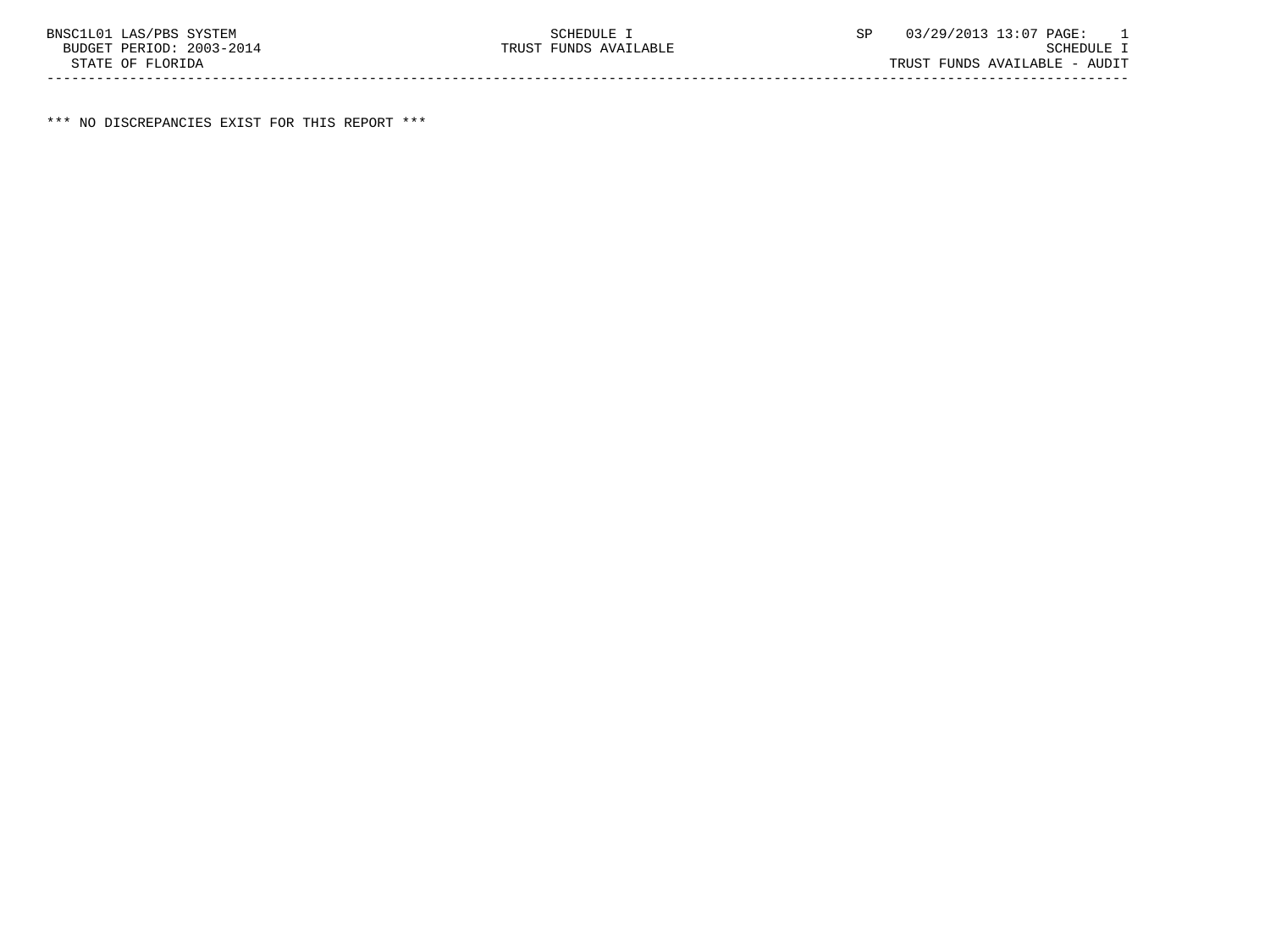BUDGET TRUST FUNDS AVAILABLE

\*\*\* NO DISCREPANCIES EXIST FOR THIS REPORT \*\*\*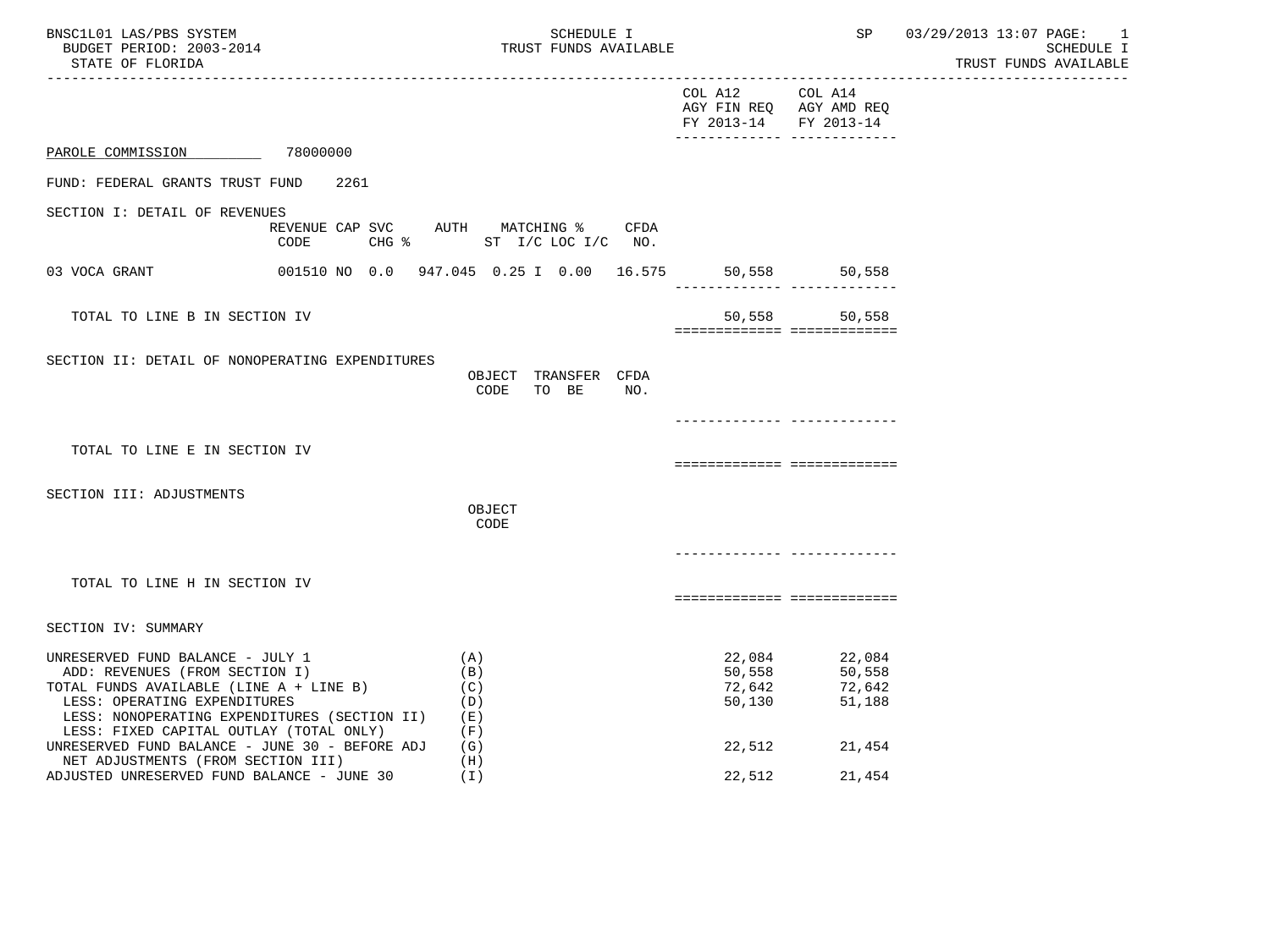| BNSC1L01 LAS/PBS SYSTEM<br>BUDGET PERIOD: 2003-2014<br>STATE OF FLORIDA<br>--------------------------                                                                                                                                    | SCHEDULE I<br>TRUST FUNDS AVAILABLE                              |                                      | SP                                                                                    | 03/29/2013 13:07 PAGE: 1<br>SCHEDULE I<br>TRUST FUNDS AVAILABLE<br>-------------- |
|------------------------------------------------------------------------------------------------------------------------------------------------------------------------------------------------------------------------------------------|------------------------------------------------------------------|--------------------------------------|---------------------------------------------------------------------------------------|-----------------------------------------------------------------------------------|
|                                                                                                                                                                                                                                          |                                                                  | COL A12 COL A14                      | AGY FIN REQ AGY AMD REQ<br>FY 2013-14 FY 2013-14<br>_________________________________ |                                                                                   |
| PAROLE COMMISSION 78000000                                                                                                                                                                                                               |                                                                  |                                      |                                                                                       |                                                                                   |
| FUND: FEDERAL GRANTS TRUST FUND<br>2261                                                                                                                                                                                                  |                                                                  |                                      |                                                                                       |                                                                                   |
| SECTION I: DETAIL OF REVENUES<br>CODE                                                                                                                                                                                                    | REVENUE CAP SVC AUTH MATCHING % CFDA<br>CHG % ST I/C LOC I/C NO. |                                      |                                                                                       |                                                                                   |
| 03 VOCA GRANT                                                                                                                                                                                                                            | 001510 NO 0.0 947.045 0.25 I 0.00 16.575 50,558 50,558           |                                      |                                                                                       |                                                                                   |
| TOTAL TO LINE B IN SECTION IV                                                                                                                                                                                                            |                                                                  |                                      | 50,558 50,558<br>============================                                         |                                                                                   |
| SECTION II: DETAIL OF NONOPERATING EXPENDITURES                                                                                                                                                                                          | OBJECT TRANSFER CFDA<br>CODE<br>TO BE<br>NO.                     |                                      |                                                                                       |                                                                                   |
|                                                                                                                                                                                                                                          |                                                                  |                                      |                                                                                       |                                                                                   |
| TOTAL TO LINE E IN SECTION IV                                                                                                                                                                                                            |                                                                  |                                      | ===========================                                                           |                                                                                   |
| SECTION III: ADJUSTMENTS                                                                                                                                                                                                                 | OBJECT<br>CODE                                                   |                                      |                                                                                       |                                                                                   |
|                                                                                                                                                                                                                                          |                                                                  |                                      | -------------- --------------                                                         |                                                                                   |
| TOTAL TO LINE H IN SECTION IV                                                                                                                                                                                                            |                                                                  |                                      | ===========================                                                           |                                                                                   |
| SECTION IV: SUMMARY                                                                                                                                                                                                                      |                                                                  |                                      |                                                                                       |                                                                                   |
| UNRESERVED FUND BALANCE - JULY 1<br>ADD: REVENUES (FROM SECTION I)<br>TOTAL FUNDS AVAILABLE (LINE A + LINE B)<br>LESS: OPERATING EXPENDITURES<br>LESS: NONOPERATING EXPENDITURES (SECTION II)<br>LESS: FIXED CAPITAL OUTLAY (TOTAL ONLY) | (A)<br>(B)<br>(C)<br>(D)<br>(E)<br>(F)                           | 22,084<br>50,558<br>72,642<br>50,130 | 22,084<br>50,558<br>72,642<br>51,188                                                  |                                                                                   |
| UNRESERVED FUND BALANCE - JUNE 30 - BEFORE ADJ<br>NET ADJUSTMENTS (FROM SECTION III)<br>ADJUSTED UNRESERVED FUND BALANCE - JUNE 30                                                                                                       | (G)<br>(H)<br>(T)                                                | 22,512<br>22,512                     | 21,454<br>21,454                                                                      |                                                                                   |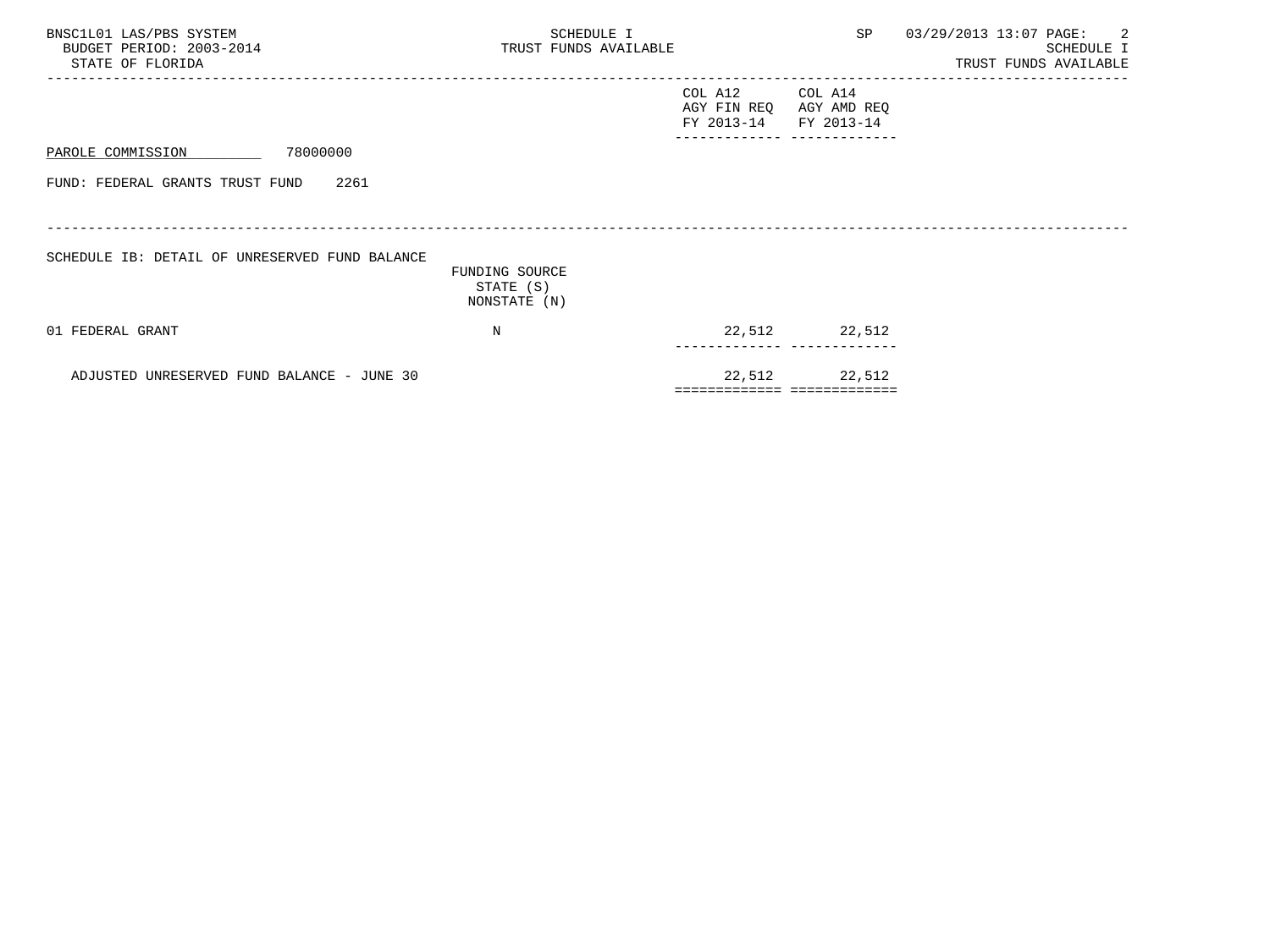| BNSC1L01 LAS/PBS SYSTEM<br>BUDGET PERIOD: 2003-2014<br>STATE OF FLORIDA | SCHEDULE I<br>TRUST FUNDS AVAILABLE         |                                      | SP                                           | 03/29/2013 13:07 PAGE: 2<br>SCHEDULE I<br>TRUST FUNDS AVAILABLE |
|-------------------------------------------------------------------------|---------------------------------------------|--------------------------------------|----------------------------------------------|-----------------------------------------------------------------|
|                                                                         |                                             | COL A12<br>AGY FIN REQ<br>FY 2013-14 | COL A14<br>AGY AMD REQ<br>FY 2013-14         |                                                                 |
| 78000000<br>PAROLE COMMISSION                                           |                                             |                                      |                                              |                                                                 |
| FUND: FEDERAL GRANTS TRUST FUND<br>2261                                 |                                             |                                      |                                              |                                                                 |
| SCHEDULE IB: DETAIL OF UNRESERVED FUND BALANCE                          | FUNDING SOURCE<br>STATE (S)<br>NONSTATE (N) |                                      |                                              |                                                                 |
| 01 FEDERAL GRANT                                                        | N                                           |                                      | 22,512 22,512                                |                                                                 |
| ADJUSTED UNRESERVED FUND BALANCE - JUNE 30                              |                                             |                                      | 22,512 22,512<br>=========================== |                                                                 |